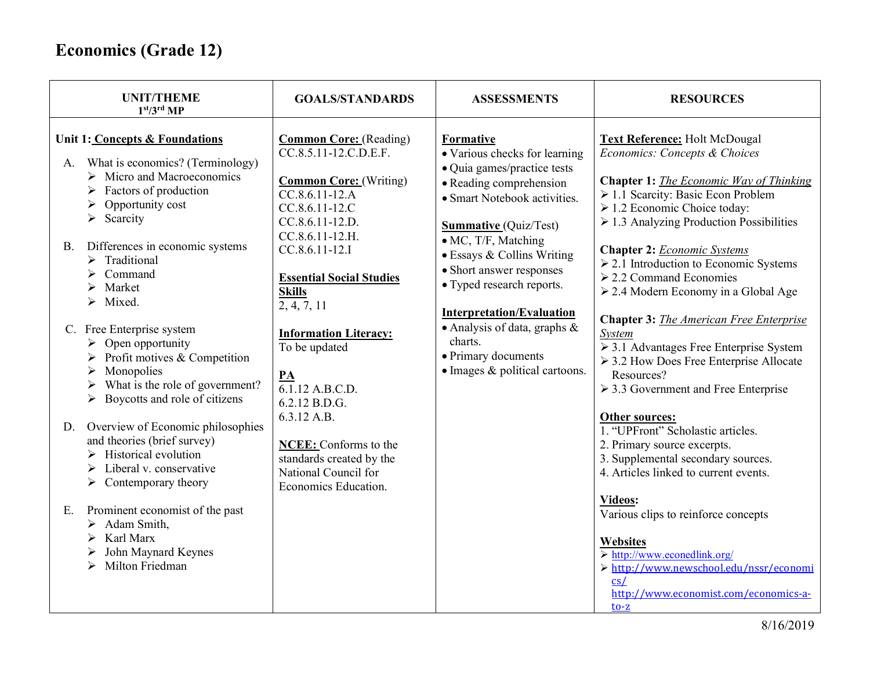| <b>UNIT/THEME</b><br>1 <sup>st</sup> /3 <sup>rd</sup> MP                                                                                                                                                                                                                                                                                                                                                                                                                                                                                                                                                                                                                                                                                                                                                                                                                                           | <b>GOALS/STANDARDS</b>                                                                                                                                                                                                                                                                                                                                                                                                                                                    | <b>ASSESSMENTS</b>                                                                                                                                                                                                                                                                                                                                                                                                            | <b>RESOURCES</b>                                                                                                                                                                                                                                                                                                                                                                                                                                                                                                                                                                                                                                                                                                                                                                                                                                                                                                                                                                                                            |
|----------------------------------------------------------------------------------------------------------------------------------------------------------------------------------------------------------------------------------------------------------------------------------------------------------------------------------------------------------------------------------------------------------------------------------------------------------------------------------------------------------------------------------------------------------------------------------------------------------------------------------------------------------------------------------------------------------------------------------------------------------------------------------------------------------------------------------------------------------------------------------------------------|---------------------------------------------------------------------------------------------------------------------------------------------------------------------------------------------------------------------------------------------------------------------------------------------------------------------------------------------------------------------------------------------------------------------------------------------------------------------------|-------------------------------------------------------------------------------------------------------------------------------------------------------------------------------------------------------------------------------------------------------------------------------------------------------------------------------------------------------------------------------------------------------------------------------|-----------------------------------------------------------------------------------------------------------------------------------------------------------------------------------------------------------------------------------------------------------------------------------------------------------------------------------------------------------------------------------------------------------------------------------------------------------------------------------------------------------------------------------------------------------------------------------------------------------------------------------------------------------------------------------------------------------------------------------------------------------------------------------------------------------------------------------------------------------------------------------------------------------------------------------------------------------------------------------------------------------------------------|
| Unit 1: Concepts & Foundations<br>What is economics? (Terminology)<br>А.<br>$\triangleright$ Micro and Macroeconomics<br>Factors of production<br>Opportunity cost<br>$\triangleright$ Scarcity<br>Differences in economic systems<br><b>B.</b><br>$\triangleright$ Traditional<br>Command<br>Market<br>Mixed.<br>↘<br>C. Free Enterprise system<br>$\triangleright$ Open opportunity<br>$\triangleright$ Profit motives & Competition<br>Monopolies<br>➤<br>What is the role of government?<br>➤<br>Boycotts and role of citizens<br>$\blacktriangleright$<br>Overview of Economic philosophies<br>D.<br>and theories (brief survey)<br>$\triangleright$ Historical evolution<br>$\triangleright$ Liberal v. conservative<br>$\triangleright$ Contemporary theory<br>Prominent economist of the past<br>E.<br>$\triangleright$ Adam Smith,<br>Karl Marx<br>John Maynard Keynes<br>Milton Friedman | <b>Common Core:</b> (Reading)<br>$CC.8.5.11-12.C.D.E.F.$<br><b>Common Core:</b> (Writing)<br>$CC.8.6.11-12.A$<br>CC.8.6.11-12.C<br>CC.8.6.11-12.D.<br>CC.8.6.11-12.H.<br>CC.8.6.11-12.I<br><b>Essential Social Studies</b><br><b>Skills</b><br>2, 4, 7, 11<br><b>Information Literacy:</b><br>To be updated<br>PA<br>6.1.12 A.B.C.D.<br>6.2.12 B.D.G.<br>6.3.12 A.B.<br>NCEE: Conforms to the<br>standards created by the<br>National Council for<br>Economics Education. | Formative<br>• Various checks for learning<br>· Quia games/practice tests<br>• Reading comprehension<br>• Smart Notebook activities.<br><b>Summative</b> (Quiz/Test)<br>• MC, T/F, Matching<br>• Essays & Collins Writing<br>• Short answer responses<br>• Typed research reports.<br><b>Interpretation/Evaluation</b><br>• Analysis of data, graphs $\&$<br>charts.<br>• Primary documents<br>· Images & political cartoons. | <b>Text Reference: Holt McDougal</b><br>Economics: Concepts & Choices<br><b>Chapter 1:</b> The Economic Way of Thinking<br>> 1.1 Scarcity: Basic Econ Problem<br>$\geq 1.2$ Economic Choice today:<br>$\geq$ 1.3 Analyzing Production Possibilities<br><b>Chapter 2: Economic Systems</b><br>$\geq$ 2.1 Introduction to Economic Systems<br>$\geq$ 2.2 Command Economies<br>≻ 2.4 Modern Economy in a Global Age<br><b>Chapter 3:</b> The American Free Enterprise<br>System<br>$\geq$ 3.1 Advantages Free Enterprise System<br>$\geq$ 3.2 How Does Free Enterprise Allocate<br>Resources?<br>$\geq$ 3.3 Government and Free Enterprise<br>Other sources:<br>1. "UPFront" Scholastic articles.<br>2. Primary source excerpts.<br>3. Supplemental secondary sources.<br>4. Articles linked to current events.<br>Videos:<br>Various clips to reinforce concepts<br><b>Websites</b><br>$\triangleright$ http://www.econedlink.org/<br>> http://www.newschool.edu/nssr/economi<br>cs/<br>http://www.economist.com/economics-a- |
|                                                                                                                                                                                                                                                                                                                                                                                                                                                                                                                                                                                                                                                                                                                                                                                                                                                                                                    |                                                                                                                                                                                                                                                                                                                                                                                                                                                                           |                                                                                                                                                                                                                                                                                                                                                                                                                               |                                                                                                                                                                                                                                                                                                                                                                                                                                                                                                                                                                                                                                                                                                                                                                                                                                                                                                                                                                                                                             |
|                                                                                                                                                                                                                                                                                                                                                                                                                                                                                                                                                                                                                                                                                                                                                                                                                                                                                                    |                                                                                                                                                                                                                                                                                                                                                                                                                                                                           |                                                                                                                                                                                                                                                                                                                                                                                                                               |                                                                                                                                                                                                                                                                                                                                                                                                                                                                                                                                                                                                                                                                                                                                                                                                                                                                                                                                                                                                                             |
|                                                                                                                                                                                                                                                                                                                                                                                                                                                                                                                                                                                                                                                                                                                                                                                                                                                                                                    |                                                                                                                                                                                                                                                                                                                                                                                                                                                                           |                                                                                                                                                                                                                                                                                                                                                                                                                               |                                                                                                                                                                                                                                                                                                                                                                                                                                                                                                                                                                                                                                                                                                                                                                                                                                                                                                                                                                                                                             |
|                                                                                                                                                                                                                                                                                                                                                                                                                                                                                                                                                                                                                                                                                                                                                                                                                                                                                                    |                                                                                                                                                                                                                                                                                                                                                                                                                                                                           |                                                                                                                                                                                                                                                                                                                                                                                                                               |                                                                                                                                                                                                                                                                                                                                                                                                                                                                                                                                                                                                                                                                                                                                                                                                                                                                                                                                                                                                                             |
|                                                                                                                                                                                                                                                                                                                                                                                                                                                                                                                                                                                                                                                                                                                                                                                                                                                                                                    |                                                                                                                                                                                                                                                                                                                                                                                                                                                                           |                                                                                                                                                                                                                                                                                                                                                                                                                               |                                                                                                                                                                                                                                                                                                                                                                                                                                                                                                                                                                                                                                                                                                                                                                                                                                                                                                                                                                                                                             |
|                                                                                                                                                                                                                                                                                                                                                                                                                                                                                                                                                                                                                                                                                                                                                                                                                                                                                                    |                                                                                                                                                                                                                                                                                                                                                                                                                                                                           |                                                                                                                                                                                                                                                                                                                                                                                                                               | $\frac{1}{2}$                                                                                                                                                                                                                                                                                                                                                                                                                                                                                                                                                                                                                                                                                                                                                                                                                                                                                                                                                                                                               |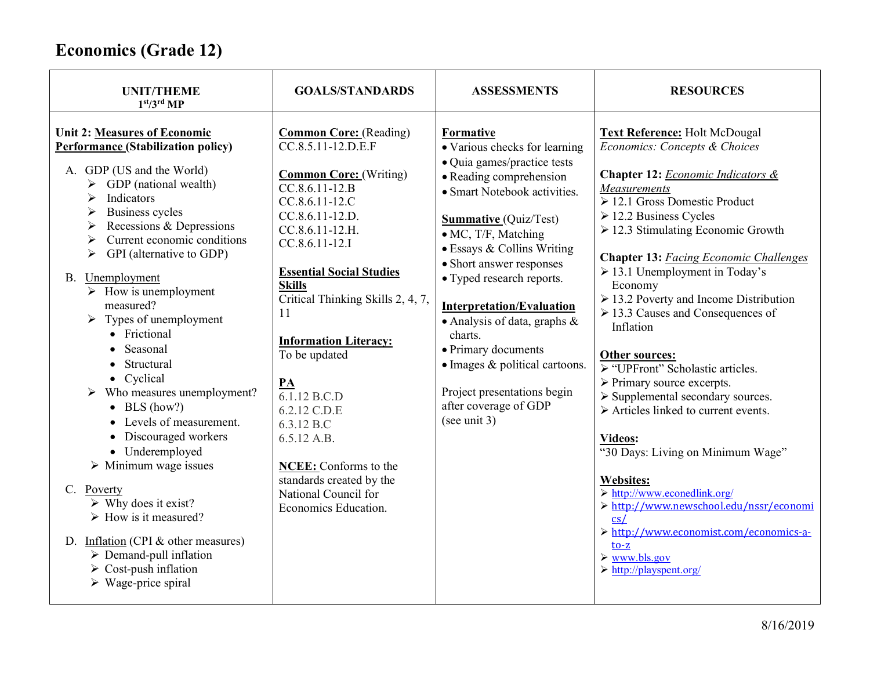| <b>UNIT/THEME</b><br>1 <sup>st</sup> /3 <sup>rd</sup> MP                                                                                                                                                                                                                                                                                                                                                                                                                                                                                                                                                                                                                                                                                                                                                                                                                                                                                                     | <b>GOALS/STANDARDS</b>                                                                                                                                                                                                                                                                                                                                                                                                                                                                                                         | <b>ASSESSMENTS</b>                                                                                                                                                                                                                                                                                                                                                                                                                                                                                       | <b>RESOURCES</b>                                                                                                                                                                                                                                                                                                                                                                                                                                                                                                                                                                                                                                                                                                                                                                                                                                                                                                                                                                |
|--------------------------------------------------------------------------------------------------------------------------------------------------------------------------------------------------------------------------------------------------------------------------------------------------------------------------------------------------------------------------------------------------------------------------------------------------------------------------------------------------------------------------------------------------------------------------------------------------------------------------------------------------------------------------------------------------------------------------------------------------------------------------------------------------------------------------------------------------------------------------------------------------------------------------------------------------------------|--------------------------------------------------------------------------------------------------------------------------------------------------------------------------------------------------------------------------------------------------------------------------------------------------------------------------------------------------------------------------------------------------------------------------------------------------------------------------------------------------------------------------------|----------------------------------------------------------------------------------------------------------------------------------------------------------------------------------------------------------------------------------------------------------------------------------------------------------------------------------------------------------------------------------------------------------------------------------------------------------------------------------------------------------|---------------------------------------------------------------------------------------------------------------------------------------------------------------------------------------------------------------------------------------------------------------------------------------------------------------------------------------------------------------------------------------------------------------------------------------------------------------------------------------------------------------------------------------------------------------------------------------------------------------------------------------------------------------------------------------------------------------------------------------------------------------------------------------------------------------------------------------------------------------------------------------------------------------------------------------------------------------------------------|
| <b>Unit 2: Measures of Economic</b><br><b>Performance (Stabilization policy)</b><br>A. GDP (US and the World)<br>$\triangleright$ GDP (national wealth)<br>Indicators<br>➤<br><b>Business cycles</b><br>➤<br>Recessions & Depressions<br>➤<br>Current economic conditions<br>➤<br>GPI (alternative to GDP)<br>➤<br>B. Unemployment<br>$\triangleright$ How is unemployment<br>measured?<br>$\triangleright$ Types of unemployment<br>• Frictional<br>Seasonal<br>• Structural<br>• Cyclical<br>$\triangleright$ Who measures unemployment?<br>$\bullet$ BLS (how?)<br>• Levels of measurement.<br>• Discouraged workers<br>• Underemployed<br>$\triangleright$ Minimum wage issues<br>$C_{\cdot}$<br>Poverty<br>$\triangleright$ Why does it exist?<br>$\triangleright$ How is it measured?<br>D. Inflation (CPI $&$ other measures)<br>$\triangleright$ Demand-pull inflation<br>$\triangleright$ Cost-push inflation<br>$\triangleright$ Wage-price spiral | <b>Common Core:</b> (Reading)<br>CC.8.5.11-12.D.E.F<br><b>Common Core:</b> (Writing)<br>$CC.8.6.11-12.B$<br>CC.8.6.11-12.C<br>CC.8.6.11-12.D.<br>CC.8.6.11-12.H.<br>CC.8.6.11-12.I<br><b>Essential Social Studies</b><br><b>Skills</b><br>Critical Thinking Skills 2, 4, 7,<br>11<br><b>Information Literacy:</b><br>To be updated<br>PA<br>$\overline{6.1.12}$ B.C.D<br>6.2.12 C.D.E<br>6.3.12 B.C<br>6.5.12 A.B.<br><b>NCEE:</b> Conforms to the<br>standards created by the<br>National Council for<br>Economics Education. | Formative<br>· Various checks for learning<br>· Quia games/practice tests<br>• Reading comprehension<br>• Smart Notebook activities.<br><b>Summative</b> (Quiz/Test)<br>• MC, T/F, Matching<br>• Essays & Collins Writing<br>• Short answer responses<br>• Typed research reports.<br><b>Interpretation/Evaluation</b><br>• Analysis of data, graphs $\&$<br>charts.<br>• Primary documents<br>· Images & political cartoons.<br>Project presentations begin<br>after coverage of GDP<br>(see unit $3$ ) | <b>Text Reference: Holt McDougal</b><br>Economics: Concepts & Choices<br>Chapter 12: Economic Indicators &<br>Measurements<br>$\geq 12.1$ Gross Domestic Product<br>$\triangleright$ 12.2 Business Cycles<br>$\geq$ 12.3 Stimulating Economic Growth<br><b>Chapter 13: Facing Economic Challenges</b><br>$\geq$ 13.1 Unemployment in Today's<br>Economy<br>$\geq$ 13.2 Poverty and Income Distribution<br>$\geq$ 13.3 Causes and Consequences of<br>Inflation<br>Other sources:<br>$\triangleright$ "UPFront" Scholastic articles.<br>$\triangleright$ Primary source excerpts.<br>> Supplemental secondary sources.<br>$\triangleright$ Articles linked to current events.<br>Videos:<br>"30 Days: Living on Minimum Wage"<br><b>Websites:</b><br>$\triangleright$ http://www.econedlink.org/<br>> http://www.newschool.edu/nssr/economi<br>cs/<br>> http://www.economist.com/economics-a-<br>$to-z$<br>$\triangleright$ www.bls.gov<br>$\triangleright$ http://playspent.org/ |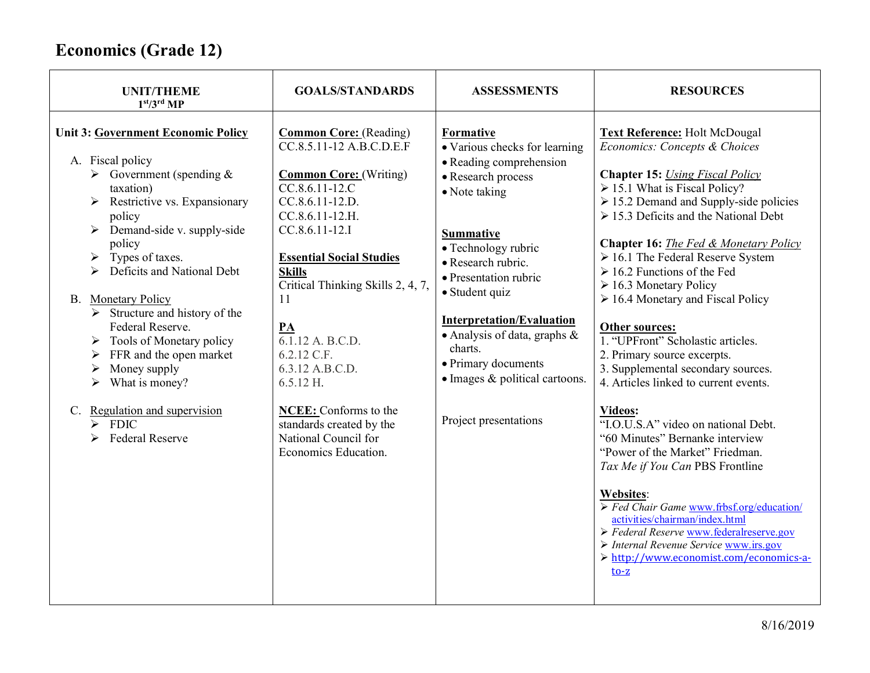| <b>UNIT/THEME</b><br>1 <sup>st</sup> /3 <sup>rd</sup> MP                                                                                                                                                                                                                                                                                                                                                                                                                                                                                                                                             | <b>GOALS/STANDARDS</b>                                                                                                                                                                                                                                                                                                                                                                                                                                                     | <b>ASSESSMENTS</b>                                                                                                                                                                                                                                                                                                                                                                                | <b>RESOURCES</b>                                                                                                                                                                                                                                                                                                                                                                                                                                                                                                                                                                                                                                                                                                                                                                                                                                                                                                                                                                                                                                     |
|------------------------------------------------------------------------------------------------------------------------------------------------------------------------------------------------------------------------------------------------------------------------------------------------------------------------------------------------------------------------------------------------------------------------------------------------------------------------------------------------------------------------------------------------------------------------------------------------------|----------------------------------------------------------------------------------------------------------------------------------------------------------------------------------------------------------------------------------------------------------------------------------------------------------------------------------------------------------------------------------------------------------------------------------------------------------------------------|---------------------------------------------------------------------------------------------------------------------------------------------------------------------------------------------------------------------------------------------------------------------------------------------------------------------------------------------------------------------------------------------------|------------------------------------------------------------------------------------------------------------------------------------------------------------------------------------------------------------------------------------------------------------------------------------------------------------------------------------------------------------------------------------------------------------------------------------------------------------------------------------------------------------------------------------------------------------------------------------------------------------------------------------------------------------------------------------------------------------------------------------------------------------------------------------------------------------------------------------------------------------------------------------------------------------------------------------------------------------------------------------------------------------------------------------------------------|
| <b>Unit 3: Government Economic Policy</b><br>A. Fiscal policy<br>$\triangleright$ Government (spending &<br>taxation)<br>$\triangleright$ Restrictive vs. Expansionary<br>policy<br>$\triangleright$ Demand-side v. supply-side<br>policy<br>Types of taxes.<br>Deficits and National Debt<br><b>B.</b> Monetary Policy<br>$\triangleright$ Structure and history of the<br>Federal Reserve.<br>$\triangleright$ Tools of Monetary policy<br>FFR and the open market<br>Money supply<br>➤<br>What is money?<br>➤<br>C. Regulation and supervision<br>$\triangleright$ FDIC<br><b>Federal Reserve</b> | <b>Common Core:</b> (Reading)<br>CC.8.5.11-12 A.B.C.D.E.F<br><b>Common Core:</b> (Writing)<br>CC.8.6.11-12.C<br>CC.8.6.11-12.D.<br>CC.8.6.11-12.H.<br>CC.8.6.11-12.I<br><b>Essential Social Studies</b><br><b>Skills</b><br>Critical Thinking Skills 2, 4, 7,<br>11<br>$\underline{\mathbf{PA}}$<br>6.1.12 A. B.C.D.<br>6.2.12 C.F.<br>6.3.12 A.B.C.D.<br>$6.5.12$ H.<br>NCEE: Conforms to the<br>standards created by the<br>National Council for<br>Economics Education. | Formative<br>• Various checks for learning<br>• Reading comprehension<br>• Research process<br>• Note taking<br><b>Summative</b><br>• Technology rubric<br>• Research rubric.<br>• Presentation rubric<br>• Student quiz<br><b>Interpretation/Evaluation</b><br>· Analysis of data, graphs &<br>charts.<br>• Primary documents<br>$\bullet$ Images & political cartoons.<br>Project presentations | <b>Text Reference: Holt McDougal</b><br>Economics: Concepts & Choices<br><b>Chapter 15:</b> Using Fiscal Policy<br>> 15.1 What is Fiscal Policy?<br>$\geq 15.2$ Demand and Supply-side policies<br>$\geq 15.3$ Deficits and the National Debt<br>Chapter 16: The Fed & Monetary Policy<br>$\geq 16.1$ The Federal Reserve System<br>$\geq 16.2$ Functions of the Fed<br>$\triangleright$ 16.3 Monetary Policy<br>$\geq$ 16.4 Monetary and Fiscal Policy<br>Other sources:<br>1. "UPFront" Scholastic articles.<br>2. Primary source excerpts.<br>3. Supplemental secondary sources.<br>4. Articles linked to current events.<br>Videos:<br>"I.O.U.S.A" video on national Debt.<br>"60 Minutes" Bernanke interview<br>"Power of the Market" Friedman.<br>Tax Me if You Can PBS Frontline<br><b>Websites:</b><br>$\triangleright$ Fed Chair Game www.frbsf.org/education/<br>activities/chairman/index.html<br>> Federal Reserve www.federalreserve.gov<br>> Internal Revenue Service www.irs.gov<br>> http://www.economist.com/economics-a-<br>$to-z$ |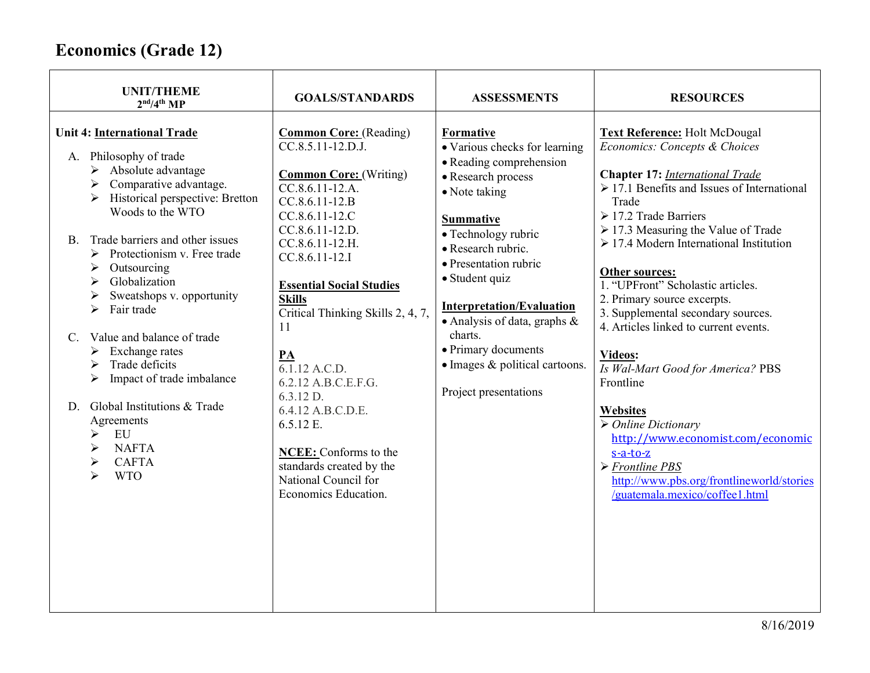| <b>UNIT/THEME</b><br>2 <sup>nd</sup> /4 <sup>th</sup> MP                                                                                                                                                                                                                                                                                                                                                                                                                                                                                                                                                    | <b>GOALS/STANDARDS</b>                                                                                                                                                                                                                                                                                                                                                                                                                                                                                  | <b>ASSESSMENTS</b>                                                                                                                                                                                                                                                                                                                                                                           | <b>RESOURCES</b>                                                                                                                                                                                                                                                                                                                                                                                                                                                                                                                                                                                                                                                                                                                                                     |
|-------------------------------------------------------------------------------------------------------------------------------------------------------------------------------------------------------------------------------------------------------------------------------------------------------------------------------------------------------------------------------------------------------------------------------------------------------------------------------------------------------------------------------------------------------------------------------------------------------------|---------------------------------------------------------------------------------------------------------------------------------------------------------------------------------------------------------------------------------------------------------------------------------------------------------------------------------------------------------------------------------------------------------------------------------------------------------------------------------------------------------|----------------------------------------------------------------------------------------------------------------------------------------------------------------------------------------------------------------------------------------------------------------------------------------------------------------------------------------------------------------------------------------------|----------------------------------------------------------------------------------------------------------------------------------------------------------------------------------------------------------------------------------------------------------------------------------------------------------------------------------------------------------------------------------------------------------------------------------------------------------------------------------------------------------------------------------------------------------------------------------------------------------------------------------------------------------------------------------------------------------------------------------------------------------------------|
| <b>Unit 4: International Trade</b><br>A. Philosophy of trade<br>$\triangleright$ Absolute advantage<br>Comparative advantage.<br>➤<br>Historical perspective: Bretton<br>≻<br>Woods to the WTO<br>B. Trade barriers and other issues<br>Protectionism v. Free trade<br>≻<br>Outsourcing<br>➤<br>Globalization<br>➤<br>Sweatshops v. opportunity<br>↘<br>Fair trade<br>Value and balance of trade<br>$C_{\cdot}$<br>Exchange rates<br>➤<br>Trade deficits<br>➤<br>Impact of trade imbalance<br>➤<br>Global Institutions & Trade<br>D.<br>Agreements<br>EU<br>➤<br><b>NAFTA</b><br><b>CAFTA</b><br><b>WTO</b> | <b>Common Core:</b> (Reading)<br>CC.8.5.11-12.D.J.<br><b>Common Core:</b> (Writing)<br>CC.8.6.11-12.A.<br>$CC.8.6.11-12.B$<br>CC.8.6.11-12.C<br>CC.8.6.11-12.D.<br>CC.8.6.11-12.H.<br>CC.8.6.11-12.I<br><b>Essential Social Studies</b><br><b>Skills</b><br>Critical Thinking Skills 2, 4, 7,<br>11<br>PA<br>6.1.12 A.C.D.<br>6.2.12 A.B.C.E.F.G.<br>$6.3.12$ D.<br>6.4.12 A.B.C.D.E.<br>6.5.12 E.<br>NCEE: Conforms to the<br>standards created by the<br>National Council for<br>Economics Education. | Formative<br>• Various checks for learning<br>• Reading comprehension<br>• Research process<br>• Note taking<br><b>Summative</b><br>• Technology rubric<br>• Research rubric.<br>• Presentation rubric<br>• Student quiz<br><b>Interpretation/Evaluation</b><br>• Analysis of data, graphs $\&$<br>charts.<br>• Primary documents<br>· Images & political cartoons.<br>Project presentations | <b>Text Reference: Holt McDougal</b><br>Economics: Concepts & Choices<br><b>Chapter 17: International Trade</b><br>$\geq 17.1$ Benefits and Issues of International<br>Trade<br>$\geq$ 17.2 Trade Barriers<br>$\ge$ 17.3 Measuring the Value of Trade<br>$\geq$ 17.4 Modern International Institution<br>Other sources:<br>1. "UPFront" Scholastic articles.<br>2. Primary source excerpts.<br>3. Supplemental secondary sources.<br>4. Articles linked to current events.<br>Videos:<br>Is Wal-Mart Good for America? PBS<br>Frontline<br><b>Websites</b><br>$\triangleright$ Online Dictionary<br>http://www.economist.com/economic<br>$s-a-to-z$<br>$\triangleright$ Frontline PBS<br>http://www.pbs.org/frontlineworld/stories<br>/guatemala.mexico/coffee1.html |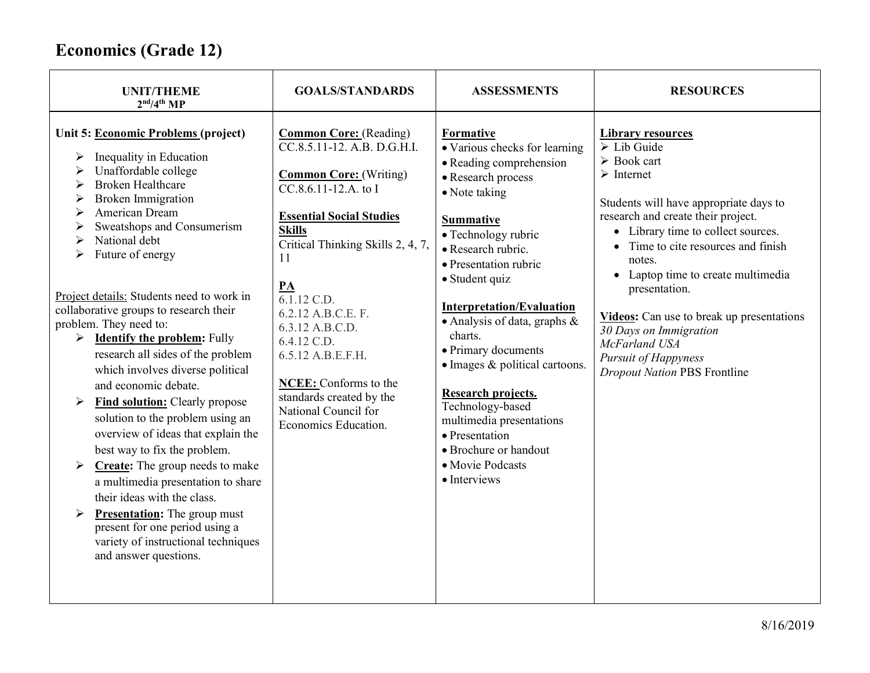| <b>UNIT/THEME</b><br>2 <sup>nd</sup> /4 <sup>th</sup> MP                                                                                                                                                                                                                                                                                                                                                                                                                                                                                                                                                                                                                                                      | <b>GOALS/STANDARDS</b>                                                                                                                                                                                                                  | <b>ASSESSMENTS</b>                                                                                                                                                                                                                                                                           | <b>RESOURCES</b>                                                                                                                                                                                                                                                                                                               |
|---------------------------------------------------------------------------------------------------------------------------------------------------------------------------------------------------------------------------------------------------------------------------------------------------------------------------------------------------------------------------------------------------------------------------------------------------------------------------------------------------------------------------------------------------------------------------------------------------------------------------------------------------------------------------------------------------------------|-----------------------------------------------------------------------------------------------------------------------------------------------------------------------------------------------------------------------------------------|----------------------------------------------------------------------------------------------------------------------------------------------------------------------------------------------------------------------------------------------------------------------------------------------|--------------------------------------------------------------------------------------------------------------------------------------------------------------------------------------------------------------------------------------------------------------------------------------------------------------------------------|
| Unit 5: Economic Problems (project)<br>Inequality in Education<br>➤<br>Unaffordable college<br><b>Broken Healthcare</b><br><b>Broken Immigration</b><br>American Dream<br>Sweatshops and Consumerism<br>➤<br>National debt<br>Future of energy                                                                                                                                                                                                                                                                                                                                                                                                                                                                | <b>Common Core:</b> (Reading)<br>$\overline{CC.8.5.11-12. A.B. D.G.H.1}.$<br><b>Common Core:</b> (Writing)<br>CC.8.6.11-12.A. to I<br><b>Essential Social Studies</b><br><b>Skills</b><br>Critical Thinking Skills 2, 4, 7,<br>11<br>PA | Formative<br>· Various checks for learning<br>• Reading comprehension<br>• Research process<br>• Note taking<br><b>Summative</b><br>• Technology rubric<br>• Research rubric.<br>• Presentation rubric<br>· Student quiz                                                                     | <b>Library resources</b><br>$\triangleright$ Lib Guide<br>$\triangleright$ Book cart<br>$\triangleright$ Internet<br>Students will have appropriate days to<br>research and create their project.<br>• Library time to collect sources.<br>• Time to cite resources and finish<br>notes.<br>• Laptop time to create multimedia |
| Project details: Students need to work in<br>collaborative groups to research their<br>problem. They need to:<br><b>Identify the problem:</b> Fully<br>$\blacktriangleright$<br>research all sides of the problem<br>which involves diverse political<br>and economic debate.<br>Find solution: Clearly propose<br>➤<br>solution to the problem using an<br>overview of ideas that explain the<br>best way to fix the problem.<br>Create: The group needs to make<br>$\blacktriangleright$<br>a multimedia presentation to share<br>their ideas with the class.<br><b>Presentation:</b> The group must<br>➤<br>present for one period using a<br>variety of instructional techniques<br>and answer questions. | 6.1.12 C.D.<br>6.2.12 A.B.C.E. F.<br>6.3.12 A.B.C.D.<br>6.4.12 C.D.<br>6.5.12 A.B.E.F.H.<br>NCEE: Conforms to the<br>standards created by the<br>National Council for<br>Economics Education.                                           | <b>Interpretation/Evaluation</b><br>• Analysis of data, graphs $\&$<br>charts.<br>• Primary documents<br>· Images & political cartoons.<br>Research projects.<br>Technology-based<br>multimedia presentations<br>• Presentation<br>• Brochure or handout<br>• Movie Podcasts<br>• Interviews | presentation.<br><b>Videos:</b> Can use to break up presentations<br>30 Days on Immigration<br>McFarland USA<br><b>Pursuit of Happyness</b><br><b>Dropout Nation PBS Frontline</b>                                                                                                                                             |